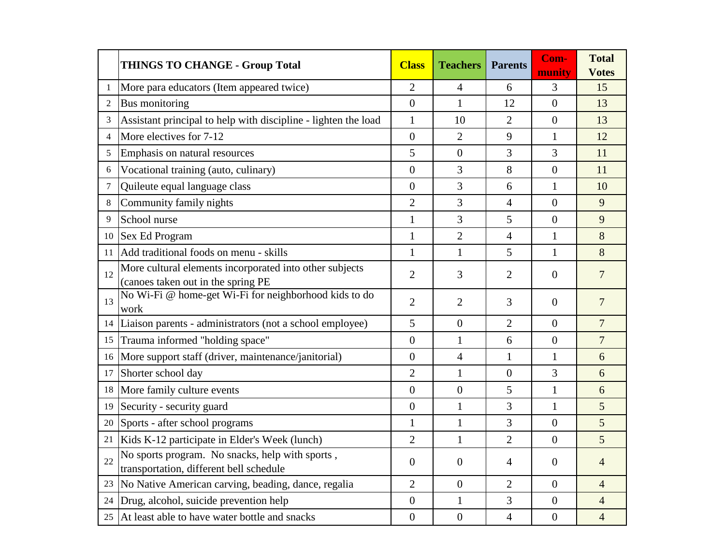|                | <b>THINGS TO CHANGE - Group Total</b>                                                         | <b>Class</b>   | <b>Teachers</b>  | <b>Parents</b> | Com-<br>munity   | <b>Total</b><br><b>Votes</b> |
|----------------|-----------------------------------------------------------------------------------------------|----------------|------------------|----------------|------------------|------------------------------|
|                | More para educators (Item appeared twice)                                                     | $\overline{2}$ | 4                | 6              | 3                | 15                           |
| $\overline{c}$ | Bus monitoring                                                                                | $\overline{0}$ | $\mathbf{1}$     | 12             | $\theta$         | 13                           |
| 3              | Assistant principal to help with discipline - lighten the load                                | $\mathbf{1}$   | 10               | $\overline{2}$ | $\Omega$         | 13                           |
| 4              | More electives for 7-12                                                                       | $\overline{0}$ | $\overline{2}$   | 9              | $\mathbf{1}$     | 12                           |
| 5              | Emphasis on natural resources                                                                 | 5              | $\overline{0}$   | 3              | 3                | 11                           |
| 6              | Vocational training (auto, culinary)                                                          | $\overline{0}$ | 3                | 8              | $\overline{0}$   | 11                           |
| 7              | Quileute equal language class                                                                 | $\overline{0}$ | 3                | 6              | 1                | 10                           |
| 8              | Community family nights                                                                       | $\overline{2}$ | 3                | $\overline{4}$ | $\overline{0}$   | 9                            |
| 9              | School nurse                                                                                  | $\mathbf{1}$   | 3                | 5              | $\overline{0}$   | 9                            |
| 10             | <b>Sex Ed Program</b>                                                                         | $\mathbf{1}$   | $\overline{2}$   | $\overline{4}$ | $\mathbf{1}$     | 8                            |
| 11             | Add traditional foods on menu - skills                                                        | $\mathbf{1}$   | $\mathbf{1}$     | 5              | $\mathbf{1}$     | 8                            |
| 12             | More cultural elements incorporated into other subjects<br>(canoes taken out in the spring PE | $\overline{2}$ | 3                | $\overline{2}$ | $\overline{0}$   | $\overline{7}$               |
| 13             | No Wi-Fi @ home-get Wi-Fi for neighborhood kids to do<br>work                                 | $\overline{2}$ | $\overline{2}$   | 3              | $\overline{0}$   | $\overline{7}$               |
|                | 14 Liaison parents - administrators (not a school employee)                                   | 5              | $\overline{0}$   | $\overline{2}$ | $\overline{0}$   | $\overline{7}$               |
|                | 15 Trauma informed "holding space"                                                            | $\overline{0}$ | $\mathbf{1}$     | 6              | $\boldsymbol{0}$ | $\overline{7}$               |
| 16             | More support staff (driver, maintenance/janitorial)                                           | $\overline{0}$ | $\overline{4}$   | $\mathbf{1}$   | $\mathbf{1}$     | 6                            |
| 17             | Shorter school day                                                                            | $\overline{2}$ | $\mathbf{1}$     | $\overline{0}$ | 3                | 6                            |
|                | 18 More family culture events                                                                 | $\overline{0}$ | $\overline{0}$   | 5              | 1                | 6                            |
| 19             | Security - security guard                                                                     | $\overline{0}$ | $\mathbf{1}$     | 3              | $\mathbf{1}$     | 5                            |
| 20             | Sports - after school programs                                                                | $\mathbf{1}$   | $\mathbf{1}$     | 3              | $\overline{0}$   | 5                            |
| 21             | Kids K-12 participate in Elder's Week (lunch)                                                 | $\overline{2}$ | $\mathbf{1}$     | $\overline{2}$ | $\overline{0}$   | 5                            |
| 22             | No sports program. No snacks, help with sports,<br>transportation, different bell schedule    | $\overline{0}$ | $\theta$         | 4              | 0                | $\overline{4}$               |
| 23             | No Native American carving, beading, dance, regalia                                           | $\overline{2}$ | $\boldsymbol{0}$ | $\overline{2}$ | $\theta$         | $\overline{4}$               |
|                | 24 Drug, alcohol, suicide prevention help                                                     | $\overline{0}$ | $\mathbf{1}$     | 3              | $\overline{0}$   | $\overline{4}$               |
|                | 25 At least able to have water bottle and snacks                                              | $\overline{0}$ | $\overline{0}$   | $\overline{4}$ | $\overline{0}$   | $\overline{4}$               |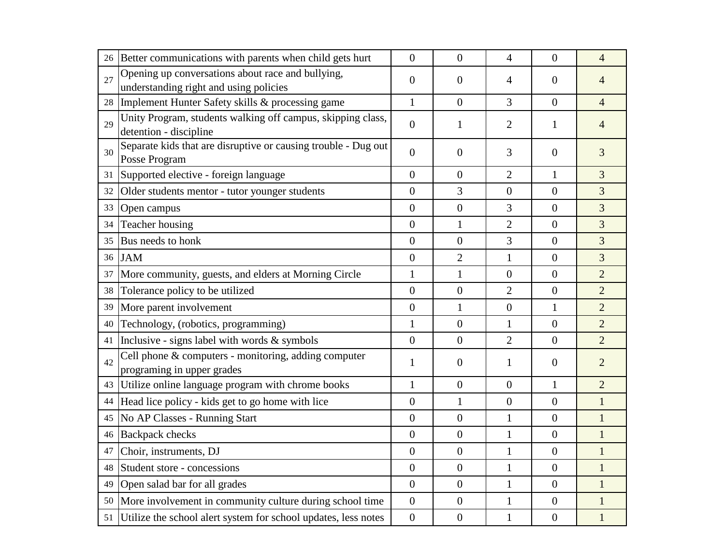| 26 | Better communications with parents when child gets hurt                                     | $\theta$         | $\overline{0}$   | $\overline{4}$   | $\theta$         | $\overline{4}$ |
|----|---------------------------------------------------------------------------------------------|------------------|------------------|------------------|------------------|----------------|
| 27 | Opening up conversations about race and bullying,<br>understanding right and using policies | $\theta$         | $\boldsymbol{0}$ | 4                | $\boldsymbol{0}$ | 4              |
| 28 | Implement Hunter Safety skills & processing game                                            | $\mathbf{1}$     | $\overline{0}$   | 3                | $\overline{0}$   | $\overline{4}$ |
| 29 | Unity Program, students walking off campus, skipping class,<br>detention - discipline       | $\overline{0}$   | $\mathbf{1}$     | $\overline{2}$   | 1                | 4              |
| 30 | Separate kids that are disruptive or causing trouble - Dug out<br>Posse Program             | $\overline{0}$   | $\overline{0}$   | 3                | $\boldsymbol{0}$ | 3              |
| 31 | Supported elective - foreign language                                                       | $\overline{0}$   | $\overline{0}$   | $\overline{2}$   | $\mathbf{1}$     | 3              |
| 32 | Older students mentor - tutor younger students                                              | $\overline{0}$   | 3                | $\boldsymbol{0}$ | $\overline{0}$   | 3              |
| 33 | Open campus                                                                                 | $\overline{0}$   | $\boldsymbol{0}$ | 3                | $\overline{0}$   | $\overline{3}$ |
| 34 | Teacher housing                                                                             | $\overline{0}$   | $\mathbf{1}$     | $\overline{2}$   | $\overline{0}$   | 3              |
| 35 | Bus needs to honk                                                                           | $\mathbf{0}$     | $\boldsymbol{0}$ | 3                | $\overline{0}$   | 3              |
| 36 | <b>JAM</b>                                                                                  | $\mathbf{0}$     | $\overline{2}$   | 1                | $\overline{0}$   | 3              |
| 37 | More community, guests, and elders at Morning Circle                                        | $\mathbf{1}$     | $\mathbf{1}$     | $\overline{0}$   | $\overline{0}$   | $\overline{2}$ |
| 38 | Tolerance policy to be utilized                                                             | $\mathbf{0}$     | $\boldsymbol{0}$ | $\overline{2}$   | $\overline{0}$   | $\overline{2}$ |
| 39 | More parent involvement                                                                     | $\overline{0}$   | $\mathbf{1}$     | $\boldsymbol{0}$ | $\mathbf{1}$     | $\overline{2}$ |
| 40 | Technology, (robotics, programming)                                                         | $\mathbf{1}$     | $\boldsymbol{0}$ | 1                | $\overline{0}$   | $\overline{2}$ |
| 41 | Inclusive - signs label with words $\&$ symbols                                             | $\mathbf{0}$     | $\overline{0}$   | $\overline{2}$   | $\overline{0}$   | $\overline{2}$ |
| 42 | Cell phone & computers - monitoring, adding computer<br>programing in upper grades          | $\mathbf{1}$     | $\boldsymbol{0}$ | $\mathbf{1}$     | $\boldsymbol{0}$ | $\overline{2}$ |
| 43 | Utilize online language program with chrome books                                           | $\mathbf{1}$     | $\overline{0}$   | $\boldsymbol{0}$ | $\mathbf{1}$     | $\overline{2}$ |
| 44 | Head lice policy - kids get to go home with lice                                            | $\boldsymbol{0}$ | $\mathbf{1}$     | $\boldsymbol{0}$ | $\boldsymbol{0}$ | $\mathbf{1}$   |
| 45 | No AP Classes - Running Start                                                               | $\overline{0}$   | $\boldsymbol{0}$ | 1                | $\boldsymbol{0}$ | $\mathbf{1}$   |
|    | 46 Backpack checks                                                                          | $\boldsymbol{0}$ | $\boldsymbol{0}$ |                  | $\boldsymbol{0}$ | $\mathbf{1}$   |
|    | 47 Choir, instruments, DJ                                                                   | $\boldsymbol{0}$ | $\boldsymbol{0}$ |                  | $\boldsymbol{0}$ | 1              |
|    | 48 Student store - concessions                                                              | $\overline{0}$   | $\overline{0}$   | $\mathbf{1}$     | $\overline{0}$   | 1              |
| 49 | Open salad bar for all grades                                                               | $\overline{0}$   | $\overline{0}$   | 1                | $\theta$         | 1              |
| 50 | More involvement in community culture during school time                                    | $\overline{0}$   | $\overline{0}$   | 1                | $\theta$         | 1              |
| 51 | Utilize the school alert system for school updates, less notes                              | $\overline{0}$   | $\boldsymbol{0}$ |                  | $\overline{0}$   |                |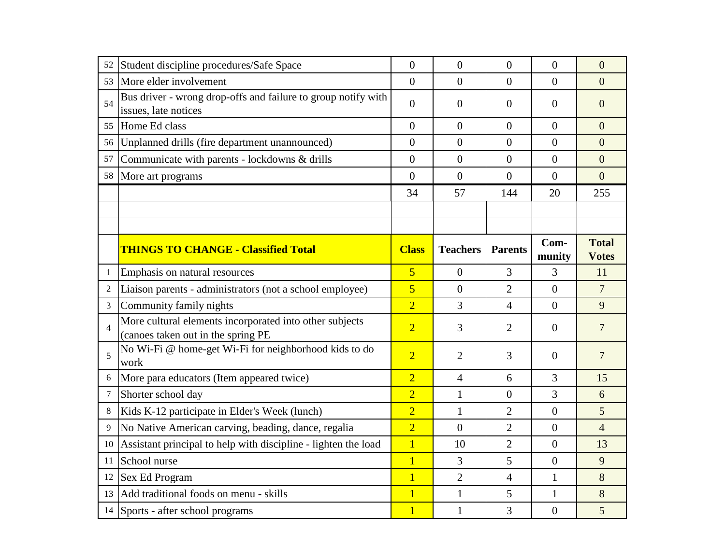| 52             | Student discipline procedures/Safe Space                                                      | $\overline{0}$ | $\boldsymbol{0}$ | $\overline{0}$   | $\overline{0}$   | $\overline{0}$               |
|----------------|-----------------------------------------------------------------------------------------------|----------------|------------------|------------------|------------------|------------------------------|
| 53             | More elder involvement                                                                        | $\Omega$       | $\theta$         | $\theta$         | $\Omega$         | $\theta$                     |
| 54             | Bus driver - wrong drop-offs and failure to group notify with<br>issues, late notices         | $\overline{0}$ | $\theta$         | $\boldsymbol{0}$ | 0                | $\mathbf{0}$                 |
| 55             | Home Ed class                                                                                 | $\overline{0}$ | $\overline{0}$   | $\overline{0}$   | $\overline{0}$   | $\overline{0}$               |
| 56             | Unplanned drills (fire department unannounced)                                                | $\overline{0}$ | $\overline{0}$   | $\overline{0}$   | $\theta$         | $\overline{0}$               |
| 57             | Communicate with parents - lockdowns & drills                                                 | $\overline{0}$ | $\overline{0}$   | $\boldsymbol{0}$ | $\mathbf{0}$     | $\overline{0}$               |
|                | 58 More art programs                                                                          | $\overline{0}$ | $\boldsymbol{0}$ | $\boldsymbol{0}$ | $\theta$         | $\overline{0}$               |
|                |                                                                                               | 34             | 57               | 144              | 20               | 255                          |
|                |                                                                                               |                |                  |                  |                  |                              |
|                |                                                                                               |                |                  |                  |                  |                              |
|                | <b>THINGS TO CHANGE - Classified Total</b>                                                    | <b>Class</b>   | <b>Teachers</b>  | <b>Parents</b>   | Com-<br>munity   | <b>Total</b><br><b>Votes</b> |
| 1              | Emphasis on natural resources                                                                 | $\overline{5}$ | $\theta$         | 3                | 3                | 11                           |
| $\overline{2}$ | Liaison parents - administrators (not a school employee)                                      | $\overline{5}$ | $\overline{0}$   | $\overline{2}$   | $\overline{0}$   | $7\overline{ }$              |
| $\mathfrak{Z}$ | Community family nights                                                                       | $\overline{2}$ | 3                | $\overline{4}$   | $\Omega$         | 9                            |
| $\overline{4}$ | More cultural elements incorporated into other subjects<br>(canoes taken out in the spring PE | $\overline{2}$ | 3                | $\overline{2}$   | $\theta$         | $\overline{7}$               |
| 5              | No Wi-Fi @ home-get Wi-Fi for neighborhood kids to do<br>work                                 | $\overline{2}$ | $\overline{2}$   | 3                | $\boldsymbol{0}$ | $\overline{7}$               |
|                | More para educators (Item appeared twice)                                                     | $\overline{2}$ | $\overline{4}$   | 6                | 3                | 15                           |
| 7              | Shorter school day                                                                            | $\overline{2}$ | $\mathbf{1}$     | $\overline{0}$   | 3                | 6                            |
| 8              | Kids K-12 participate in Elder's Week (lunch)                                                 | $\overline{2}$ | $\mathbf{1}$     | $\overline{2}$   | $\theta$         | 5                            |
| 9              | No Native American carving, beading, dance, regalia                                           | $\overline{2}$ | $\overline{0}$   | $\overline{2}$   | $\overline{0}$   | $\overline{4}$               |
| 10             | Assistant principal to help with discipline - lighten the load                                | $\overline{1}$ | 10               | $\overline{2}$   | $\boldsymbol{0}$ | 13                           |
| 11             | School nurse                                                                                  | $\overline{1}$ | 3                | 5                | $\theta$         | 9                            |
| 12             | Sex Ed Program                                                                                | $\overline{1}$ | $\overline{2}$   | $\overline{4}$   | $\mathbf{1}$     | 8                            |
|                | 13 Add traditional foods on menu - skills                                                     | $\overline{1}$ | $\mathbf{1}$     | 5                | 1                | 8                            |
|                | 14 Sports - after school programs                                                             | $\overline{1}$ | $\mathbf{1}$     | 3                | $\overline{0}$   | 5                            |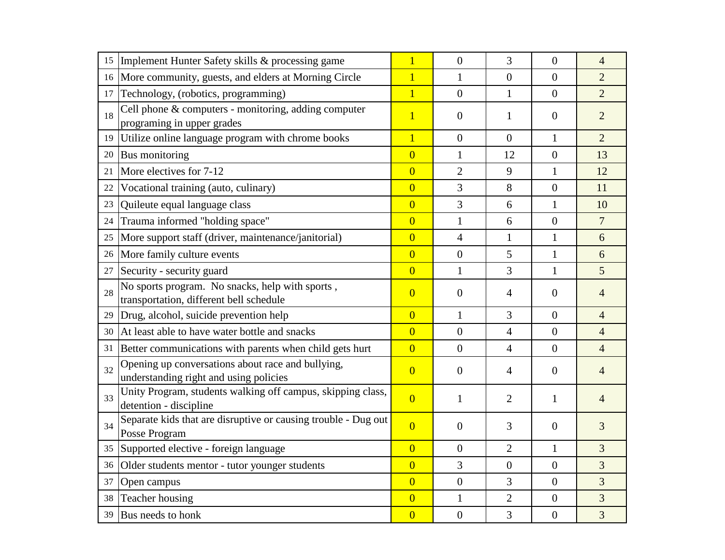|    |                                                                                             | $\overline{1}$ | $\boldsymbol{0}$ | 3              | $\overline{0}$   |                                  |
|----|---------------------------------------------------------------------------------------------|----------------|------------------|----------------|------------------|----------------------------------|
| 15 | Implement Hunter Safety skills & processing game                                            | $\overline{1}$ |                  | $\overline{0}$ | $\mathbf{0}$     | $\overline{4}$<br>$\overline{2}$ |
|    | 16 More community, guests, and elders at Morning Circle                                     |                | 1                |                |                  |                                  |
| 17 | Technology, (robotics, programming)                                                         | $\overline{1}$ | $\overline{0}$   | $\mathbf{1}$   | $\mathbf{0}$     | $\overline{2}$                   |
| 18 | Cell phone & computers - monitoring, adding computer<br>programing in upper grades          | $\overline{1}$ | $\boldsymbol{0}$ | 1              | $\theta$         | $\overline{2}$                   |
| 19 | Utilize online language program with chrome books                                           | $\overline{1}$ | $\overline{0}$   | $\overline{0}$ | $\mathbf{1}$     | $\overline{2}$                   |
| 20 | <b>Bus</b> monitoring                                                                       | $\overline{0}$ | 1                | 12             | $\overline{0}$   | 13                               |
| 21 | More electives for 7-12                                                                     | $\overline{0}$ | $\overline{2}$   | 9              | 1                | 12                               |
| 22 | Vocational training (auto, culinary)                                                        | $\overline{0}$ | 3                | 8              | $\overline{0}$   | 11                               |
| 23 | Quileute equal language class                                                               | $\overline{0}$ | 3                | 6              | $\mathbf{1}$     | 10                               |
| 24 | Trauma informed "holding space"                                                             | $\overline{0}$ | $\mathbf{1}$     | 6              | $\boldsymbol{0}$ | $\overline{7}$                   |
| 25 | More support staff (driver, maintenance/janitorial)                                         | $\overline{0}$ | $\overline{4}$   | $\mathbf{1}$   | $\mathbf{1}$     | 6                                |
| 26 | More family culture events                                                                  | $\overline{0}$ | $\overline{0}$   | 5              | $\mathbf{1}$     | 6                                |
| 27 | Security - security guard                                                                   | $\overline{0}$ | 1                | 3              | 1                | 5                                |
| 28 | No sports program. No snacks, help with sports,<br>transportation, different bell schedule  | $\overline{0}$ | $\boldsymbol{0}$ | 4              | $\theta$         | $\overline{4}$                   |
| 29 | Drug, alcohol, suicide prevention help                                                      | $\overline{0}$ | $\mathbf{1}$     | 3              | $\overline{0}$   | $\overline{4}$                   |
| 30 | At least able to have water bottle and snacks                                               | $\overline{0}$ | $\boldsymbol{0}$ | $\overline{4}$ | $\overline{0}$   | $\overline{4}$                   |
| 31 | Better communications with parents when child gets hurt                                     | $\overline{0}$ | $\overline{0}$   | $\overline{4}$ | $\boldsymbol{0}$ | $\overline{4}$                   |
| 32 | Opening up conversations about race and bullying,<br>understanding right and using policies | $\overline{0}$ | $\boldsymbol{0}$ | $\overline{4}$ | $\mathbf{0}$     | 4                                |
| 33 | Unity Program, students walking off campus, skipping class,<br>detention - discipline       | $\overline{0}$ | 1                | $\overline{2}$ | 1                | $\overline{4}$                   |
| 34 | Separate kids that are disruptive or causing trouble - Dug out<br>Posse Program             | $\overline{0}$ | $\boldsymbol{0}$ | 3              | $\theta$         | 3                                |
|    | 35 Supported elective - foreign language                                                    | $\overline{0}$ | $\boldsymbol{0}$ | $\overline{2}$ | $\mathbf{1}$     | 3                                |
| 36 | Older students mentor - tutor younger students                                              | $\overline{0}$ | 3                | $\overline{0}$ | $\overline{0}$   | 3                                |
| 37 | Open campus                                                                                 | $\overline{0}$ | $\overline{0}$   | 3              | $\mathbf{0}$     | 3                                |
| 38 | Teacher housing                                                                             | $\overline{0}$ | 1                | $\overline{2}$ | $\overline{0}$   | 3                                |
|    | 39 Bus needs to honk                                                                        | $\overline{0}$ | $\boldsymbol{0}$ | 3              | $\overline{0}$   | 3                                |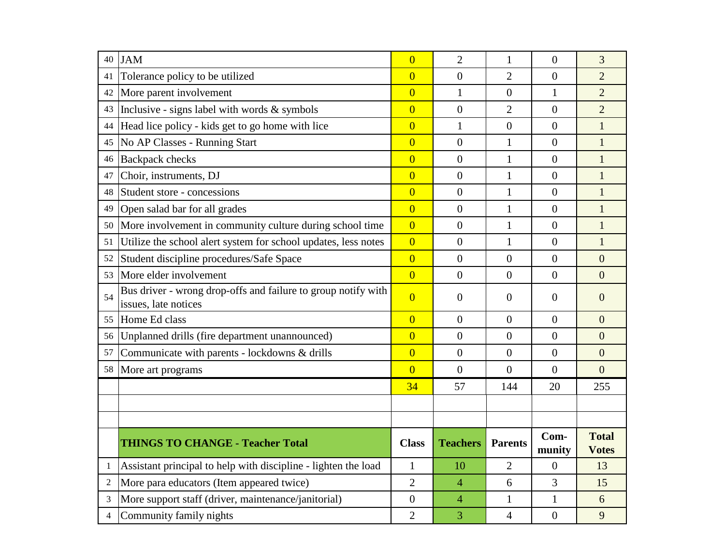| 40             | <b>JAM</b>                                                                            | $\overline{0}$ | $\overline{2}$   | $\mathbf{1}$     | $\overline{0}$ | 3                            |
|----------------|---------------------------------------------------------------------------------------|----------------|------------------|------------------|----------------|------------------------------|
| 41             | Tolerance policy to be utilized                                                       | $\overline{0}$ | $\overline{0}$   | $\overline{2}$   | $\overline{0}$ | $\overline{2}$               |
| 42             | More parent involvement                                                               | $\overline{0}$ | $\mathbf{1}$     | $\boldsymbol{0}$ | $\mathbf{1}$   | $\overline{2}$               |
|                | 43   Inclusive - signs label with words $\&$ symbols                                  | $\overline{0}$ | $\overline{0}$   | $\overline{2}$   | $\overline{0}$ | $\overline{2}$               |
| 44             | Head lice policy - kids get to go home with lice                                      | $\overline{0}$ | $\mathbf{1}$     | $\overline{0}$   | $\overline{0}$ | $\mathbf{1}$                 |
| 45             | No AP Classes - Running Start                                                         | $\overline{0}$ | $\overline{0}$   | $\mathbf{1}$     | $\overline{0}$ | $\mathbf{1}$                 |
|                | 46 Backpack checks                                                                    | $\overline{0}$ | $\overline{0}$   | $\mathbf{1}$     | $\overline{0}$ | $\mathbf{1}$                 |
| 47             | Choir, instruments, DJ                                                                | $\overline{0}$ | $\overline{0}$   | $\mathbf{1}$     | $\overline{0}$ | $\mathbf{1}$                 |
| 48             | Student store - concessions                                                           | $\overline{0}$ | $\overline{0}$   | $\mathbf{1}$     | $\overline{0}$ | $\overline{1}$               |
| 49             | Open salad bar for all grades                                                         | $\overline{0}$ | $\overline{0}$   | $\mathbf{1}$     | $\overline{0}$ | $\overline{1}$               |
|                | 50 More involvement in community culture during school time                           | $\overline{0}$ | $\overline{0}$   | $\mathbf{1}$     | $\overline{0}$ | $\mathbf{1}$                 |
| 51             | Utilize the school alert system for school updates, less notes                        | $\overline{0}$ | $\overline{0}$   | $\mathbf{1}$     | $\overline{0}$ | $\mathbf{1}$                 |
| 52             | Student discipline procedures/Safe Space                                              | $\overline{0}$ | $\overline{0}$   | $\overline{0}$   | $\overline{0}$ | $\overline{0}$               |
|                | 53 More elder involvement                                                             | $\overline{0}$ | $\overline{0}$   | $\overline{0}$   | $\overline{0}$ | $\overline{0}$               |
| 54             | Bus driver - wrong drop-offs and failure to group notify with<br>issues, late notices | $\overline{0}$ | $\theta$         | $\overline{0}$   | $\Omega$       | $\overline{0}$               |
|                | 55 Home Ed class                                                                      | $\overline{0}$ | $\overline{0}$   | $\overline{0}$   | $\overline{0}$ | $\overline{0}$               |
|                | 56   Unplanned drills (fire department unannounced)                                   | $\overline{0}$ | $\overline{0}$   | $\overline{0}$   | $\Omega$       | $\overline{0}$               |
| 57             | Communicate with parents - lockdowns & drills                                         | $\overline{0}$ | $\overline{0}$   | $\overline{0}$   | $\overline{0}$ | $\overline{0}$               |
|                | 58 More art programs                                                                  | $\overline{0}$ | $\boldsymbol{0}$ | $\boldsymbol{0}$ | $\overline{0}$ | $\overline{0}$               |
|                |                                                                                       | 34             | 57               | 144              | 20             | 255                          |
|                |                                                                                       |                |                  |                  |                |                              |
|                |                                                                                       |                |                  |                  |                |                              |
|                | <b>THINGS TO CHANGE - Teacher Total</b>                                               | <b>Class</b>   | <b>Teachers</b>  | <b>Parents</b>   | Com-<br>munity | <b>Total</b><br><b>Votes</b> |
| $\mathbf{1}$   | Assistant principal to help with discipline - lighten the load                        | $\mathbf{1}$   | 10               | $\overline{2}$   | $\overline{0}$ | 13                           |
| $\overline{c}$ | More para educators (Item appeared twice)                                             | $\overline{2}$ | $\overline{4}$   | 6                | 3              | 15                           |
| 3              | More support staff (driver, maintenance/janitorial)                                   | $\overline{0}$ | $\overline{4}$   | $\mathbf{1}$     | 1              | 6                            |
| 4              | Community family nights                                                               | $\overline{2}$ | 3                | 4                | $\overline{0}$ | 9                            |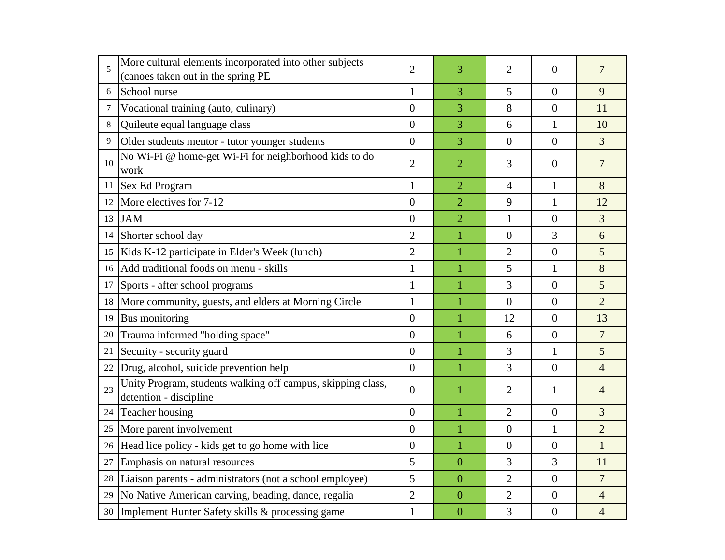| 5  | More cultural elements incorporated into other subjects<br>(canoes taken out in the spring PE | $\overline{2}$   | 3              | $\overline{2}$   | $\Omega$         | $\overline{7}$ |
|----|-----------------------------------------------------------------------------------------------|------------------|----------------|------------------|------------------|----------------|
| 6  | School nurse                                                                                  | $\mathbf{1}$     | 3              | 5                | $\overline{0}$   | 9              |
| 7  | Vocational training (auto, culinary)                                                          | $\overline{0}$   | 3              | 8                | $\overline{0}$   | 11             |
| 8  | Quileute equal language class                                                                 | $\overline{0}$   | 3              | 6                | $\mathbf{1}$     | 10             |
| 9  | Older students mentor - tutor younger students                                                | $\overline{0}$   | 3              | $\overline{0}$   | $\overline{0}$   | $\overline{3}$ |
| 10 | No Wi-Fi @ home-get Wi-Fi for neighborhood kids to do<br>work                                 | $\overline{2}$   | $\overline{2}$ | 3                | $\overline{0}$   | $\overline{7}$ |
|    | 11 Sex Ed Program                                                                             | $\mathbf{1}$     | $\overline{2}$ | $\overline{4}$   | $\mathbf{1}$     | 8              |
| 12 | More electives for 7-12                                                                       | $\overline{0}$   | $\overline{2}$ | 9                | 1                | 12             |
|    | 13 JAM                                                                                        | $\overline{0}$   | $\overline{2}$ | $\mathbf{1}$     | $\overline{0}$   | $\overline{3}$ |
|    | 14 Shorter school day                                                                         | $\overline{2}$   | $\mathbf 1$    | $\boldsymbol{0}$ | 3                | 6              |
|    | 15   Kids K-12 participate in Elder's Week (lunch)                                            | $\overline{2}$   | $\mathbf{1}$   | $\overline{2}$   | $\overline{0}$   | $\overline{5}$ |
|    | 16 Add traditional foods on menu - skills                                                     | $\mathbf{1}$     | $\mathbf{1}$   | 5                | $\mathbf{1}$     | 8              |
|    | 17 Sports - after school programs                                                             | 1                | $\mathbf{1}$   | 3                | $\overline{0}$   | $\overline{5}$ |
|    | 18 More community, guests, and elders at Morning Circle                                       | $\mathbf{1}$     | $\mathbf{1}$   | $\overline{0}$   | $\overline{0}$   | $\overline{2}$ |
|    | 19 Bus monitoring                                                                             | $\overline{0}$   | $\mathbf{1}$   | 12               | $\overline{0}$   | 13             |
| 20 | Trauma informed "holding space"                                                               | $\overline{0}$   | $\mathbf{1}$   | 6                | $\overline{0}$   | $\overline{7}$ |
| 21 | Security - security guard                                                                     | $\overline{0}$   | $\mathbf{1}$   | 3                | $\mathbf{1}$     | 5              |
| 22 | Drug, alcohol, suicide prevention help                                                        | $\overline{0}$   | 1              | 3                | $\overline{0}$   | $\overline{4}$ |
| 23 | Unity Program, students walking off campus, skipping class,<br>detention - discipline         | $\overline{0}$   | 1              | $\overline{2}$   | $\mathbf{1}$     | $\overline{4}$ |
|    | 24 Teacher housing                                                                            | $\overline{0}$   | $\mathbf{1}$   | $\overline{2}$   | $\overline{0}$   | 3              |
|    | 25 More parent involvement                                                                    | $\overline{0}$   | $\mathbf{1}$   | $\boldsymbol{0}$ | $\mathbf{1}$     | $\overline{2}$ |
|    | 26  Head lice policy - kids get to go home with lice                                          | $\boldsymbol{0}$ | $\mathbf{1}$   | $\boldsymbol{0}$ | $\boldsymbol{0}$ | $\mathbf{1}$   |
|    | 27 Emphasis on natural resources                                                              | 5                | $\overline{0}$ | 3                | 3                | 11             |
| 28 | Liaison parents - administrators (not a school employee)                                      | 5                | $\overline{0}$ | $\overline{2}$   | $\overline{0}$   | $\overline{7}$ |
| 29 | No Native American carving, beading, dance, regalia                                           | $\mathfrak{2}$   | $\overline{0}$ | $\overline{2}$   | $\boldsymbol{0}$ | $\overline{4}$ |
|    | 30 Implement Hunter Safety skills & processing game                                           | 1                | $\overline{0}$ | 3                | $\overline{0}$   | $\overline{4}$ |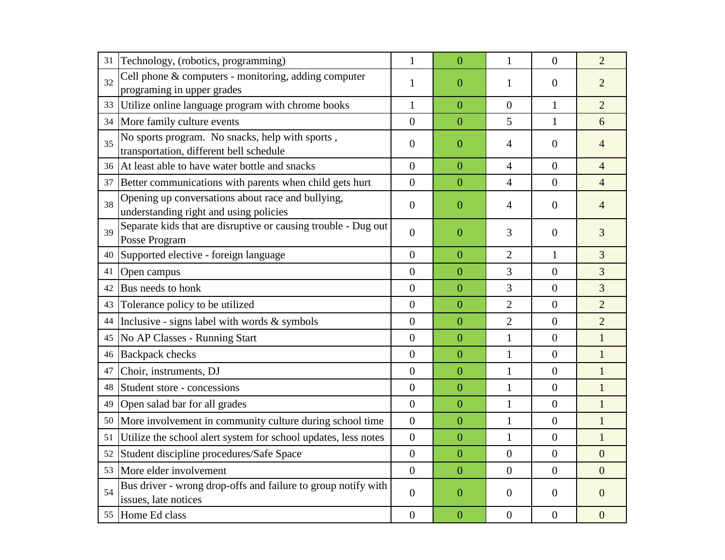| 31 | Technology, (robotics, programming)                                                         | $\mathbf{1}$     | $\overline{0}$   | $\mathbf{1}$     | $\theta$         | $\overline{2}$   |
|----|---------------------------------------------------------------------------------------------|------------------|------------------|------------------|------------------|------------------|
| 32 | Cell phone & computers - monitoring, adding computer<br>programing in upper grades          | 1                | $\overline{0}$   | 1                | $\theta$         | $\overline{2}$   |
| 33 | Utilize online language program with chrome books                                           | $\mathbf{1}$     | $\overline{0}$   | $\overline{0}$   | $\mathbf{1}$     | $\overline{2}$   |
| 34 | More family culture events                                                                  | $\boldsymbol{0}$ | $\overline{0}$   | 5                | $\mathbf{1}$     | 6                |
| 35 | No sports program. No snacks, help with sports,<br>transportation, different bell schedule  | $\boldsymbol{0}$ | $\boldsymbol{0}$ | 4                | $\overline{0}$   | 4                |
| 36 | At least able to have water bottle and snacks                                               | $\overline{0}$   | $\overline{0}$   | 4                | $\theta$         | $\overline{4}$   |
| 37 | Better communications with parents when child gets hurt                                     | $\theta$         | $\overline{0}$   | 4                | $\overline{0}$   | $\overline{4}$   |
| 38 | Opening up conversations about race and bullying,<br>understanding right and using policies | $\theta$         | $\overline{0}$   | 4                | $\theta$         | 4                |
| 39 | Separate kids that are disruptive or causing trouble - Dug out<br>Posse Program             | $\boldsymbol{0}$ | $\boldsymbol{0}$ | 3                | $\theta$         | 3                |
|    | 40 Supported elective - foreign language                                                    | $\overline{0}$   | $\overline{0}$   | $\overline{2}$   | $\mathbf{1}$     | 3                |
| 41 | Open campus                                                                                 | $\overline{0}$   | $\overline{0}$   | 3                | $\boldsymbol{0}$ | 3                |
| 42 | Bus needs to honk                                                                           | $\boldsymbol{0}$ | $\overline{0}$   | 3                | $\boldsymbol{0}$ | 3                |
| 43 | Tolerance policy to be utilized                                                             | $\boldsymbol{0}$ | $\overline{0}$   | $\overline{2}$   | $\boldsymbol{0}$ | $\overline{2}$   |
| 44 | Inclusive - signs label with words $\&$ symbols                                             | $\boldsymbol{0}$ | $\overline{0}$   | $\overline{2}$   | $\overline{0}$   | $\overline{2}$   |
| 45 | No AP Classes - Running Start                                                               | $\boldsymbol{0}$ | $\overline{0}$   | 1                | $\boldsymbol{0}$ | $\mathbf{1}$     |
| 46 | <b>Backpack</b> checks                                                                      | $\overline{0}$   | $\overline{0}$   | 1                | $\overline{0}$   | $\mathbf{1}$     |
| 47 | Choir, instruments, DJ                                                                      | $\boldsymbol{0}$ | $\overline{0}$   | 1                | $\boldsymbol{0}$ | $\mathbf{1}$     |
| 48 | Student store - concessions                                                                 | $\overline{0}$   | $\overline{0}$   | $\mathbf{1}$     | $\boldsymbol{0}$ | $\mathbf{1}$     |
| 49 | Open salad bar for all grades                                                               | $\mathbf{0}$     | $\overline{0}$   | 1                | $\boldsymbol{0}$ | $\mathbf{1}$     |
| 50 | More involvement in community culture during school time                                    | $\overline{0}$   | $\overline{0}$   | 1                | $\overline{0}$   | $\mathbf{1}$     |
| 51 | Utilize the school alert system for school updates, less notes                              | $\boldsymbol{0}$ | $\boldsymbol{0}$ | 1                | $\boldsymbol{0}$ | 1                |
| 52 | Student discipline procedures/Safe Space                                                    | $\boldsymbol{0}$ | $\boldsymbol{0}$ | $\boldsymbol{0}$ | $\boldsymbol{0}$ | $\boldsymbol{0}$ |
|    | 53 More elder involvement                                                                   | $\overline{0}$   | $\overline{0}$   | $\overline{0}$   | $\overline{0}$   | $\overline{0}$   |
| 54 | Bus driver - wrong drop-offs and failure to group notify with<br>issues, late notices       | $\overline{0}$   | $\boldsymbol{0}$ | $\mathbf{0}$     | $\overline{0}$   | $\overline{0}$   |
|    | 55 Home Ed class                                                                            | $\overline{0}$   | $\mathbf{0}$     | $\boldsymbol{0}$ | $\overline{0}$   | $\boldsymbol{0}$ |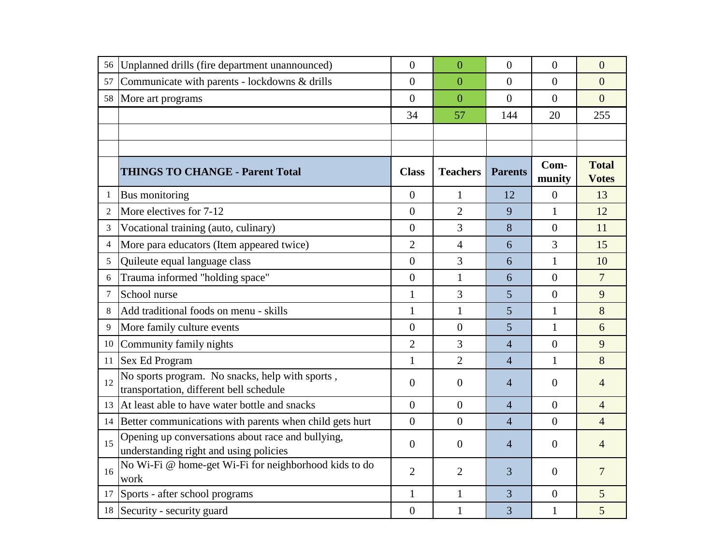| 56             | Unplanned drills (fire department unannounced)                                              | $\overline{0}$ | $\overline{0}$  | $\overline{0}$ | $\overline{0}$ | $\overline{0}$               |
|----------------|---------------------------------------------------------------------------------------------|----------------|-----------------|----------------|----------------|------------------------------|
| 57             | Communicate with parents - lockdowns & drills                                               | $\overline{0}$ | $\overline{0}$  | $\overline{0}$ | $\Omega$       | $\overline{0}$               |
|                | 58 More art programs                                                                        | $\overline{0}$ | $\overline{0}$  | $\overline{0}$ | $\theta$       | $\overline{0}$               |
|                |                                                                                             | 34             | 57              | 144            | 20             | 255                          |
|                |                                                                                             |                |                 |                |                |                              |
|                |                                                                                             |                |                 |                |                |                              |
|                | <b>THINGS TO CHANGE - Parent Total</b>                                                      | <b>Class</b>   | <b>Teachers</b> | <b>Parents</b> | Com-<br>munity | <b>Total</b><br><b>Votes</b> |
| $\mathbf{1}$   | Bus monitoring                                                                              | $\overline{0}$ | $\mathbf{1}$    | 12             | $\theta$       | 13                           |
| $\overline{2}$ | More electives for 7-12                                                                     | $\overline{0}$ | $\overline{2}$  | 9              | $\mathbf{1}$   | 12                           |
| 3              | Vocational training (auto, culinary)                                                        | $\theta$       | 3               | 8              | $\Omega$       | 11                           |
| $\overline{4}$ | More para educators (Item appeared twice)                                                   | $\overline{2}$ | $\overline{4}$  | 6              | 3              | 15                           |
| 5              | Quileute equal language class                                                               | $\overline{0}$ | 3               | 6              | 1              | 10                           |
| 6              | Trauma informed "holding space"                                                             | $\overline{0}$ | $\mathbf{1}$    | 6              | $\theta$       | $\overline{7}$               |
| 7              | School nurse                                                                                | $\mathbf{1}$   | $\overline{3}$  | 5              | $\theta$       | 9                            |
| 8              | Add traditional foods on menu - skills                                                      | $\mathbf{1}$   | $\mathbf{1}$    | 5              | $\mathbf{1}$   | 8                            |
| 9              | More family culture events                                                                  | $\theta$       | $\theta$        | 5              | $\mathbf{1}$   | 6                            |
| 10             | Community family nights                                                                     | $\overline{2}$ | 3               | $\overline{4}$ | $\theta$       | 9                            |
| 11             | Sex Ed Program                                                                              | 1              | $\overline{2}$  | $\overline{4}$ | 1              | 8                            |
| 12             | No sports program. No snacks, help with sports,<br>transportation, different bell schedule  | $\overline{0}$ | $\overline{0}$  | 4              | $\overline{0}$ | $\overline{4}$               |
|                | 13 At least able to have water bottle and snacks                                            | $\overline{0}$ | $\overline{0}$  | $\overline{4}$ | $\overline{0}$ | $\overline{4}$               |
|                | 14 Better communications with parents when child gets hurt                                  | $\overline{0}$ | $\overline{0}$  | $\overline{4}$ | $\theta$       | $\overline{4}$               |
| 15             | Opening up conversations about race and bullying,<br>understanding right and using policies | $\overline{0}$ | $\overline{0}$  | $\overline{4}$ | $\Omega$       | $\overline{4}$               |
| 16             | No Wi-Fi @ home-get Wi-Fi for neighborhood kids to do<br>work                               | $\overline{2}$ | $\overline{2}$  | 3              | $\overline{0}$ | $\overline{7}$               |
|                | 17 Sports - after school programs                                                           | $\mathbf{1}$   | $\mathbf{1}$    | 3              | $\theta$       | 5                            |
|                | 18 Security - security guard                                                                | $\mathbf{0}$   | $\mathbf{1}$    | 3              | $\mathbf{1}$   | 5                            |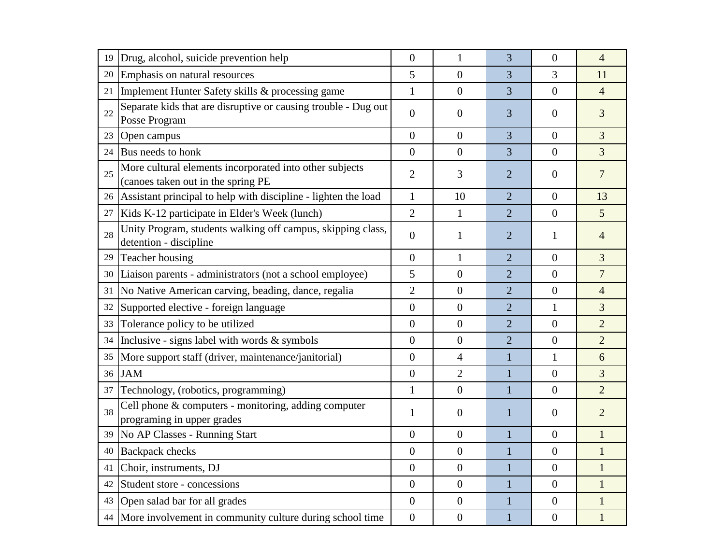| 19 | Drug, alcohol, suicide prevention help                                                        | $\theta$         | $\mathbf{1}$     | 3              | $\boldsymbol{0}$ | $\overline{4}$ |
|----|-----------------------------------------------------------------------------------------------|------------------|------------------|----------------|------------------|----------------|
| 20 | Emphasis on natural resources                                                                 | 5                | $\overline{0}$   | 3              | 3                | 11             |
| 21 | Implement Hunter Safety skills & processing game                                              | $\mathbf{1}$     | $\overline{0}$   | 3              | $\overline{0}$   | $\overline{4}$ |
| 22 | Separate kids that are disruptive or causing trouble - Dug out<br>Posse Program               | $\theta$         | $\boldsymbol{0}$ | 3              | $\overline{0}$   | 3              |
| 23 | Open campus                                                                                   | $\overline{0}$   | $\overline{0}$   | 3              | $\overline{0}$   | $\overline{3}$ |
| 24 | Bus needs to honk                                                                             | $\overline{0}$   | $\overline{0}$   | 3              | $\boldsymbol{0}$ | $\overline{3}$ |
| 25 | More cultural elements incorporated into other subjects<br>(canoes taken out in the spring PE | $\overline{2}$   | 3                | $\overline{2}$ | $\boldsymbol{0}$ | $\overline{7}$ |
|    | 26 Assistant principal to help with discipline - lighten the load                             | $\mathbf{1}$     | 10               | $\overline{2}$ | $\boldsymbol{0}$ | 13             |
| 27 | Kids K-12 participate in Elder's Week (lunch)                                                 | $\overline{2}$   | $\mathbf{1}$     | $\overline{2}$ | $\overline{0}$   | 5 <sup>5</sup> |
| 28 | Unity Program, students walking off campus, skipping class,<br>detention - discipline         | $\theta$         | 1                | $\overline{2}$ | 1                | $\overline{4}$ |
|    | 29 Teacher housing                                                                            | $\boldsymbol{0}$ | $\mathbf{1}$     | $\overline{2}$ | $\overline{0}$   | 3              |
| 30 | Liaison parents - administrators (not a school employee)                                      | 5                | $\boldsymbol{0}$ | $\overline{2}$ | $\overline{0}$   | $\overline{7}$ |
| 31 | No Native American carving, beading, dance, regalia                                           | $\overline{2}$   | $\boldsymbol{0}$ | $\overline{2}$ | $\overline{0}$   | $\overline{4}$ |
| 32 | Supported elective - foreign language                                                         | $\boldsymbol{0}$ | $\boldsymbol{0}$ | $\overline{2}$ | $\mathbf{1}$     | 3              |
| 33 | Tolerance policy to be utilized                                                               | $\boldsymbol{0}$ | $\boldsymbol{0}$ | $\overline{2}$ | $\overline{0}$   | $\overline{2}$ |
| 34 | Inclusive - signs label with words & symbols                                                  | $\boldsymbol{0}$ | $\boldsymbol{0}$ | $\overline{2}$ | $\boldsymbol{0}$ | $\overline{2}$ |
|    | 35  More support staff (driver, maintenance/janitorial)                                       | $\boldsymbol{0}$ | 4                | 1              | 1                | 6              |
|    | 36 JAM                                                                                        | $\boldsymbol{0}$ | $\overline{2}$   | $\mathbf{1}$   | $\boldsymbol{0}$ | 3              |
| 37 | Technology, (robotics, programming)                                                           | $\mathbf{1}$     | $\boldsymbol{0}$ |                | $\boldsymbol{0}$ | $\overline{2}$ |
| 38 | Cell phone & computers - monitoring, adding computer<br>programing in upper grades            | 1                | $\boldsymbol{0}$ | $\mathbf 1$    | $\boldsymbol{0}$ | $\overline{2}$ |
|    | 39 No AP Classes - Running Start                                                              | $\boldsymbol{0}$ | $\boldsymbol{0}$ |                | $\boldsymbol{0}$ | $\mathbf{1}$   |
|    | 40 Backpack checks                                                                            | $\boldsymbol{0}$ | $\boldsymbol{0}$ |                | $\overline{0}$   | 1              |
|    | 41 Choir, instruments, DJ                                                                     | $\overline{0}$   | $\overline{0}$   | 1              | $\overline{0}$   | 1              |
|    | 42 Student store - concessions                                                                | $\overline{0}$   | $\boldsymbol{0}$ |                | $\theta$         | 1              |
|    | 43 Open salad bar for all grades                                                              | $\overline{0}$   | $\overline{0}$   |                | $\theta$         | 1              |
|    | 44 More involvement in community culture during school time                                   | $\overline{0}$   | $\boldsymbol{0}$ |                | $\overline{0}$   |                |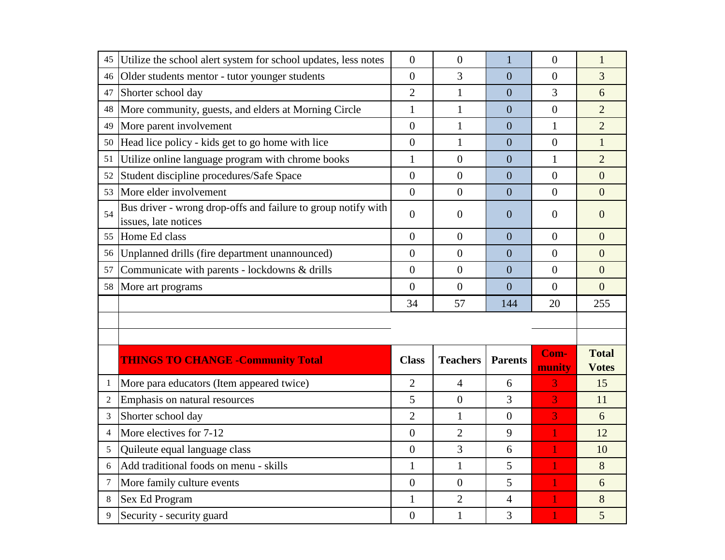| 45                  | Utilize the school alert system for school updates, less notes                        | $\mathbf{0}$                   | $\boldsymbol{0}$               | 1                   | $\Omega$       | $\mathbf{1}$   |
|---------------------|---------------------------------------------------------------------------------------|--------------------------------|--------------------------------|---------------------|----------------|----------------|
| 46                  | Older students mentor - tutor younger students                                        | $\overline{0}$                 | 3                              | $\overline{0}$      | $\overline{0}$ | 3              |
| 47                  | Shorter school day                                                                    | $\overline{2}$                 | $\mathbf{1}$                   | $\overline{0}$      | 3              | 6              |
| 48                  | More community, guests, and elders at Morning Circle                                  | $\mathbf{1}$                   | $\mathbf{1}$                   | $\overline{0}$      | $\overline{0}$ | $\overline{2}$ |
| 49                  | More parent involvement                                                               | $\overline{0}$                 | $\mathbf{1}$                   | $\overline{0}$      | $\mathbf{1}$   | $\overline{2}$ |
| 50                  | Head lice policy - kids get to go home with lice                                      | $\mathbf{0}$                   | $\mathbf{1}$                   | $\overline{0}$      | $\overline{0}$ | $\mathbf{1}$   |
| 51                  | Utilize online language program with chrome books                                     | $\mathbf{1}$                   | $\overline{0}$                 | $\overline{0}$      | $\mathbf{1}$   | $\overline{2}$ |
| 52                  | Student discipline procedures/Safe Space                                              | $\overline{0}$                 | $\overline{0}$                 | $\overline{0}$      | $\overline{0}$ | $\overline{0}$ |
| 53                  | More elder involvement                                                                | $\overline{0}$                 | $\overline{0}$                 | $\overline{0}$      | $\theta$       | $\overline{0}$ |
| 54                  | Bus driver - wrong drop-offs and failure to group notify with<br>issues, late notices | $\overline{0}$                 | $\overline{0}$                 | $\overline{0}$      | $\overline{0}$ | $\overline{0}$ |
| 55                  | Home Ed class                                                                         | $\overline{0}$                 | $\overline{0}$                 | $\overline{0}$      | $\theta$       | $\overline{0}$ |
| 56 I                | Unplanned drills (fire department unannounced)                                        | $\overline{0}$                 | $\overline{0}$                 | $\overline{0}$      | $\overline{0}$ | $\overline{0}$ |
| 57                  | Communicate with parents - lockdowns & drills                                         | $\mathbf{0}$                   | $\overline{0}$                 | $\overline{0}$      | $\overline{0}$ | $\overline{0}$ |
|                     |                                                                                       | $\overline{0}$                 | $\overline{0}$                 | $\overline{0}$      | $\theta$       | $\overline{0}$ |
| 58                  | More art programs                                                                     |                                |                                |                     |                |                |
|                     |                                                                                       | 34                             | 57                             | 144                 | 20             | 255            |
|                     | <b>THINGS TO CHANGE - Community Total</b>                                             | <b>Class</b>                   | <b>Teachers</b>                | <b>Parents</b>      | Com-           | <b>Total</b>   |
|                     |                                                                                       |                                |                                |                     | munity         | <b>Votes</b>   |
| -1                  | More para educators (Item appeared twice)                                             | $\overline{2}$                 | $\overline{4}$                 | 6                   | 3              | 15             |
| $\overline{c}$      | Emphasis on natural resources                                                         | 5                              | $\overline{0}$                 | 3                   | 3              | 11             |
| 3<br>$\overline{4}$ | Shorter school day                                                                    | $\overline{2}$                 | $\mathbf{1}$                   | $\overline{0}$      | 3              | 6              |
|                     | More electives for 7-12                                                               | $\overline{0}$                 | $\overline{2}$                 | 9                   |                | 12             |
| 5<br>6              | Quileute equal language class                                                         | $\overline{0}$                 | 3                              | 6                   |                | 10             |
| 7                   | Add traditional foods on menu - skills                                                | $\mathbf{1}$<br>$\overline{0}$ | $\mathbf 1$<br>$\overline{0}$  | 5                   |                | 8<br>6         |
|                     | More family culture events                                                            |                                |                                | 5                   |                |                |
| 8<br>9              | Sex Ed Program<br>Security - security guard                                           | $\mathbf{1}$<br>$\overline{0}$ | $\overline{2}$<br>$\mathbf{1}$ | $\overline{4}$<br>3 |                | 8<br>5         |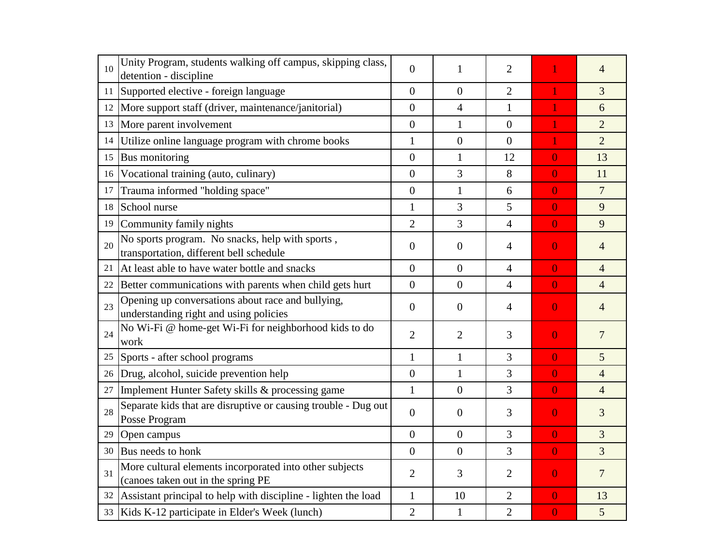| 10              | Unity Program, students walking off campus, skipping class,<br>detention - discipline         | $\overline{0}$   | 1              | $\overline{2}$ |                | $\overline{4}$ |
|-----------------|-----------------------------------------------------------------------------------------------|------------------|----------------|----------------|----------------|----------------|
| 11              | Supported elective - foreign language                                                         | $\overline{0}$   | $\overline{0}$ | $\overline{2}$ |                | $\overline{3}$ |
|                 | 12   More support staff (driver, maintenance/janitorial)                                      | $\overline{0}$   | $\overline{4}$ | $\mathbf{1}$   |                | 6              |
|                 | 13 More parent involvement                                                                    | $\overline{0}$   | $\mathbf{1}$   | $\overline{0}$ | 1              | $\overline{2}$ |
| 14              | Utilize online language program with chrome books                                             | $\mathbf{1}$     | $\overline{0}$ | $\overline{0}$ |                | $\overline{2}$ |
|                 | 15 Bus monitoring                                                                             | $\overline{0}$   | $\mathbf{1}$   | 12             | $\overline{0}$ | 13             |
| 16 <sup>1</sup> | Vocational training (auto, culinary)                                                          | $\overline{0}$   | 3              | 8              | $\overline{0}$ | 11             |
| 17              | Trauma informed "holding space"                                                               | $\overline{0}$   | $\mathbf{1}$   | 6              | $\overline{0}$ | $\overline{7}$ |
| 18              | School nurse                                                                                  | $\mathbf{1}$     | 3              | 5              | $\overline{0}$ | 9              |
| 19              | Community family nights                                                                       | $\overline{2}$   | $\overline{3}$ | 4              | $\overline{0}$ | 9              |
| 20              | No sports program. No snacks, help with sports,<br>transportation, different bell schedule    | $\overline{0}$   | $\overline{0}$ | 4              | $\overline{0}$ | $\overline{4}$ |
| 21              | At least able to have water bottle and snacks                                                 | $\overline{0}$   | $\overline{0}$ | 4              | $\overline{0}$ | $\overline{4}$ |
|                 | 22 Better communications with parents when child gets hurt                                    | $\overline{0}$   | $\overline{0}$ | 4              | $\overline{0}$ | $\overline{4}$ |
| 23              | Opening up conversations about race and bullying,<br>understanding right and using policies   | $\boldsymbol{0}$ | $\overline{0}$ | 4              | $\overline{0}$ | $\overline{4}$ |
| 24              | No Wi-Fi @ home-get Wi-Fi for neighborhood kids to do<br>work                                 | $\overline{2}$   | $\overline{2}$ | 3              | $\overline{0}$ | $\overline{7}$ |
|                 | 25 Sports - after school programs                                                             | $\mathbf{1}$     | $\mathbf{1}$   | 3              | $\overline{0}$ | 5              |
|                 | 26 Drug, alcohol, suicide prevention help                                                     | $\overline{0}$   | $\mathbf{1}$   | 3              | $\overline{0}$ | $\overline{4}$ |
| 27              | Implement Hunter Safety skills & processing game                                              | $\mathbf{1}$     | $\overline{0}$ | 3              | $\overline{0}$ | $\overline{4}$ |
| 28              | Separate kids that are disruptive or causing trouble - Dug out<br>Posse Program               | $\boldsymbol{0}$ | $\overline{0}$ | 3              | $\overline{0}$ | 3              |
| 29              | Open campus                                                                                   | $\theta$         | $\overline{0}$ | 3              | $\overline{0}$ | $\overline{3}$ |
|                 | 30 Bus needs to honk                                                                          | $\overline{0}$   | $\overline{0}$ | 3              | $\overline{0}$ | $\overline{3}$ |
| 31              | More cultural elements incorporated into other subjects<br>(canoes taken out in the spring PE | $\overline{2}$   | 3              | $\overline{2}$ | $\overline{0}$ | $\overline{7}$ |
| 32              | Assistant principal to help with discipline - lighten the load                                | $\mathbf{1}$     | 10             | $\overline{2}$ | $\overline{0}$ | 13             |
|                 | 33   Kids K-12 participate in Elder's Week (lunch)                                            | $\overline{2}$   | $\mathbf{1}$   | $\overline{2}$ | $\overline{0}$ | 5              |